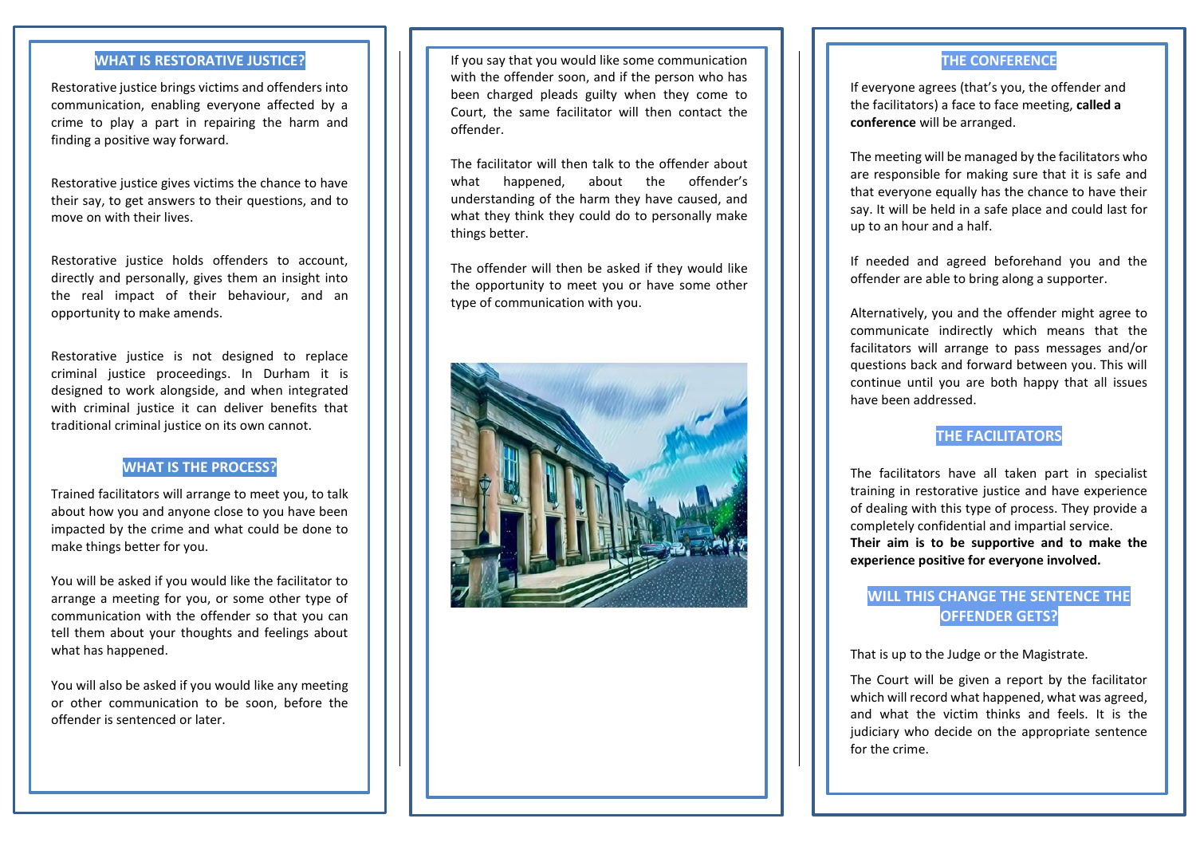#### **WHAT IS RESTORATIVE JUSTICE?**

Restorative justice brings victims and offenders into communication, enabling everyone affected by a crime to play a part in repairing the harm and finding a positive way forward.

Restorative justice gives victims the chance to have their say, to get answers to their questions, and to move on with their lives.

Restorative justice holds offenders to account, directly and personally, gives them an insight into the real impact of their behaviour, and an opportunity to make amends.

Restorative justice is not designed to replace criminal justice proceedings. In Durham it is designed to work alongside, and when integrated with criminal justice it can deliver benefits that traditional criminal justice on its own cannot.

#### **WHAT IS THE PROCESS?**

Trained facilitators will arrange to meet you, to talk about how you and anyone close to you have been impacted by the crime and what could be done to make things better for you.

You will be asked if you would like the facilitator to arrange a meeting for you, or some other type of communication with the offender so that you can tell them about your thoughts and feelings about what has happened.

You will also be asked if you would like any meeting or other communication to be soon, before the offender is sentenced or later.

If you say that you would like some communication with the offender soon, and if the person who has been charged pleads guilty when they come to Court, the same facilitator will then contact the offender.

The facilitator will then talk to the offender about what happened, about the offender's understanding of the harm they have caused, and what they think they could do to personally make things better.

The offender will then be asked if they would like the opportunity to meet you or have some other type of communication with you.



#### **THE CONFERENCE**

If everyone agrees (that's you, the offender and the facilitators) a face to face meeting, **called a conference** will be arranged.

The meeting will be managed by the facilitators who are responsible for making sure that it is safe and that everyone equally has the chance to have their say. It will be held in a safe place and could last for up to an hour and a half.

If needed and agreed beforehand you and the offender are able to bring along a supporter.

Alternatively, you and the offender might agree to communicate indirectly which means that the facilitators will arrange to pass messages and/or questions back and forward between you. This will continue until you are both happy that all issues have been addressed.

# **THE FACILITATORS**

The facilitators have all taken part in specialist training in restorative justice and have experience of dealing with this type of process. They provide a completely confidential and impartial service. **Their aim is to be supportive and to make the experience positive for everyone involved.** 

## **WILL THIS CHANGE THE SENTENCE THE OFFENDER GETS?**

That is up to the Judge or the Magistrate.

The Court will be given a report by the facilitator which will record what happened, what was agreed, and what the victim thinks and feels. It is the judiciary who decide on the appropriate sentence for the crime.